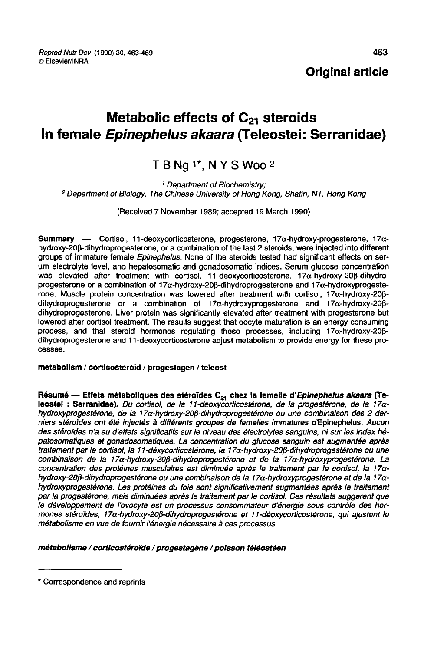Reprod Nutr Dev (1990) 30, 463-469 © Elsevier/INRA

Metabolic effects of  $C_{21}$  steroids

# TBNg<sup>1\*</sup>, NYSWoo<sup>2</sup>

in female *Epinephelus akaara* (Teleostei: Serranidae)<br>
T B Ng <sup>1\*</sup>, N Y S Woo <sup>2</sup><br>
<sup>1</sup> Department of Biochemistry;<br>
<sup>2</sup> Department of Biology, The Chinese University of Hong Kong, Shatin, NT, Hong Kong ' Department d <sup>2</sup> Department of Biology, The Chinese University of Hong Kong, Shatin, NT, Hong Kong

(Received 7 November 1989; accepted 19 March 1990)

Summary  $\text{---}$  Cortisol, 11-deoxycorticosterone, progesterone, 17 $\alpha$ -hydroxy-progesterone, 17 $\alpha$ hydroxy-20fi-dihydroprogesterone, or a combination of the last 2 steroids, were injected into different groups of immature female Epinephelus. None of the steroids tested had significant effects on serum electrolyte level, and hepatosomatic and gonadosomatic indices. Serum glucose concentration was elevated after treatment with cortisol, 11-deoxycorticosterone,  $17\alpha$ -hydroxy-20 $\beta$ -dihydroprogesterone or a combination of  $17\alpha$ -hydroxy-208-dihydroprogesterone and  $17\alpha$ -hydroxyprogesterone. Muscle protein concentration was lowered after treatment with cortisol,  $17\alpha$ -hydroxy-20 $\beta$ dihydroprogesterone or a combination of 17 $\alpha$ -hydroxyprogesterone and 17 $\alpha$ -hydroxy-20 $\beta$ dihydroprogesterone. Liver protein was significantly elevated after treatment with progesterone but lowered after cortisol treatment. The results suggest that oocyte maturation is an energy consuming process, and that steroid hormones regulating these processes, including  $17\alpha$ -hydroxy-20 $\beta$ dihydroprogesterone and 11-deoxycorticosterone adjust metabolism to provide energy for these pro cesses.

metabolism / corticosteroid / progestagen / teleost

Résumé - Effets métaboliques des stéroïdes  $C_{21}$  chez la femelle d'Epinephelus akaara (Teleostel : Serranldae). Du cortisol, de la 11-deoxycorticostérone, de la progestérone, de la 17ahydroxyprogestérone, de la 17a-hydroxy-20ß-dihydroprogestérone ou une combinaison des 2 derniers stéroïdes ont été injectés à différents groupes de femelles immatures d'Epinephelus. Aucun des stéroïdes n'a eu d'effets significatifs sur le niveau des électrolytes sanguins, ni sur les index hépatosomatiques et gonadosomatiques. La concentration du glucose sanguin est augmentée après traitement par le cortisol, la 11-déxycorticostérone, la 17 $\alpha$ -hydroxy-20 $\beta$ -dihydroprogestérone ou une combinaison de la 17a-hydroxy-20ß-dihydroprogestérone et de la 17a-hydroxyprogestérone. La concentration des protéines musculaires est diminuée après le traitement par le cortisol, la 17ahydroxy-20ß-dihydroprogestérone ou une combinaison de la 17a-hydroxyprogestérone et de la 17ahydroxyprogestérone. Les protéines du foie sont significativement augmentées après le traitement par la progestérone, mais diminuées après le traitement par le cortisol. Ces résultats suggèrent que le développement de l'ovocyte est un processus consommateur d'énergie sous contrôle des hormones stéroïdes, 17α-hydroxy-20β-dihydroprogestérone et 11-déoxycorticostérone, qui ajustent le métabolisme en vue de fournir l'énergie nécessaire à ces processus.

métabolisme / corticostéroïde / progestagène / poisson téléostéen

<sup>\*</sup> Correspondence and reprints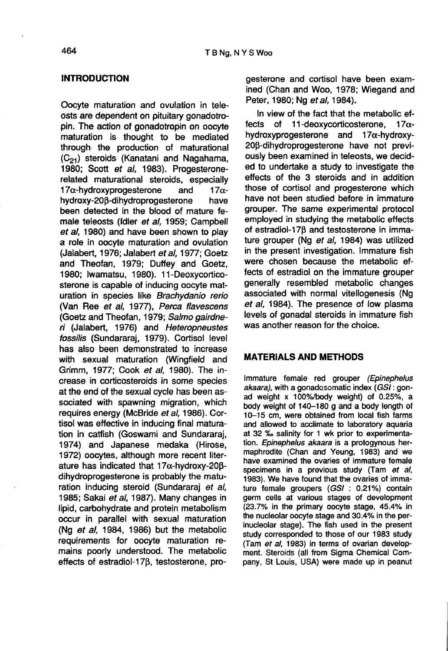#### **INTRODUCTION**

Oocyte maturation and ovulation in teleosts are dependent on pituitary gonadotropin. The action of gonadotropin on oocyte maturation is thought to be mediated through the production of maturational<br>  $(C_{21})$  steroids (Kanatani and Nagahama,<br>
1980: Scott et al. 1983). Progesterone-1980; Scott et al, 1983). Progesteronerelated maturational steroids, especially<br>17 $\alpha$ -hydroxyprogesterone and 17 $\alpha$ -17α-hydroxyprogesterone and 17α-<br>hydroxy-20β-dihydroprogesterone have hydroxy-20ß-dihydroprogesterone been detected in the blood of mature female teleosts (Idler et al, 1959; Campbell et al, 1980) and have been shown to play a role in oocyte maturation and ovulation (Jalabert, 1976; Jalabert et al, 1977; Goetz and Theofan, 1979; Duffey and Goetz, 1980; lwamatsu, 1980). 11-Deoxycorticosterone is capable of inducing oocyte maturation in species like Brachydanio rerio (Van Ree et al, 1977), Perca flavescens (Goetz and Theofan, 1979; Salmo gairdneri (Jalabert, 1976) and Heteropneustes fossilis (Sundararaj, 1979). Cortisol level has also been demonstrated to increase with sexual maturation (Wingfield and Grimm, 1977; Cook et al, 1980). The increase in corticosteroids in some species at the end of the sexual cycle has been associated with spawning migration, which requires energy (McBride et al, 1986). Cortisol was effective in inducing final maturation in catfish (Goswami and Sundararaj, 1974) and Japanese medaka (Hirose, 1972) oocytes, although more recent literature has indicated that  $17\alpha$ -hydroxy-20 $\beta$ dihydroprogesterone is probably the maturation inducing steroid (Sundararaj et al, 1985; Sakai et al, 1987). Many changes in lipid, carbohydrate and protein metabolism occur in parallel with sexual maturation (Ng et al, 1984, 1986) but the metabolic requirements for oocyte maturation remains poorly understood. The metabolic effects of estradiol-17 $\beta$ , testosterone, progesterone and cortisol have been examined (Chan and Woo, 1978; Wiegand and Peter, 1980; Ng et al, 1984).

In view of the fact that the metabolic effects of 11-deoxycorticosterone,  $17\alpha$ hydroxyprogesterone and 17a-hydroxy-20p-dihydroprogesterone have not previously been examined in teleosts, we decided to undertake a study to investigate the effects of the 3 steroids and in addition those of cortisol and progesterone which have not been studied before in immature grouper. The same experimental protocol employed in studying the metabolic effects of estradiol-170 and testosterone in immature grouper (Ng et al, 1984) was utilized in the present investigation. Immature fish were chosen because the metabolic effects of estradiol on the immature grouper generally resembled metabolic changes associated with normal vitellogenesis (Ng et al, 1984). The presence of low plasma levels of gonadal steroids in immature fish was another reason for the choice.

#### MATERIALS AND METHODS

Immature female red grouper (Epinephelus akaara), with a gonadosomatic index (GSI : gonad weight x 100%/body weight) of 0.25%, a body weight of 140-180 g and a body length of 10-15 cm, were obtained from local fish farms at 32 % salinity for 1 wk prior to experimentation. Epinephelus akaara is a protogynous hermaphrodite (Chan and Yeung, 1983) and we have examined the ovaries of immature female specimens in a previous study (Tam et al, 1983). We have found that the ovaries of immature female groupers (GSI : 0.21%) contain germ cells at various stages of development (23.7% in the primary oocyte stage, 45.4% in the nucleolar oocyte stage and 30.4% in the perinucleolar stage). The fish used in the present study corresponded to those of our 1983 study<br>(Tam et al, 1983) in terms of ovarian development. Steroids (all from Sigma Chemical Company, St Louis, USA) were made up in peanut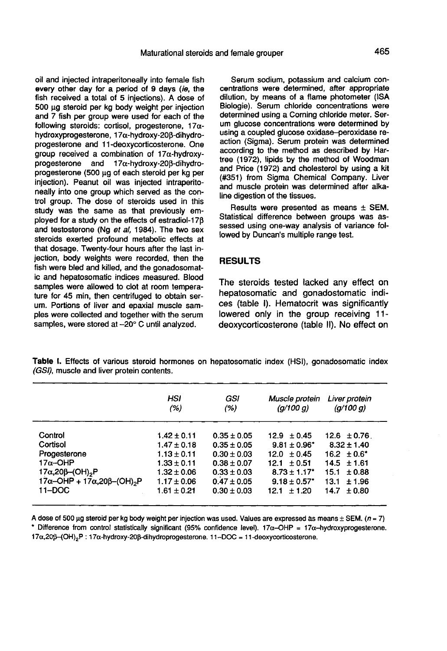oil and injected intraperitoneally into female fish every other day for a period of 9 days (ie, the fish received a total of 5 injections). A dose of 500 pg steroid per kg body weight per injection and 7 fish per group were used for each of the following steroids: cortisol, progesterone,  $17\alpha$ hydroxyprogesterone, 17α-hydroxy-20β-dihydroprogesterone and 11-deoxycorticosterone. One group received a combination of  $17\alpha$ -hydroxyprogesterone and  $17\alpha$ -hydroxy-208-dihydroprogesterone (500 wg of each steroid per kg per injection). Peanut oil was injected intraperitoneally into one group which served as the control group. The dose of steroids used in this study was the same as that previously employed for a study on the effects of estradiol-17 $\beta$ and testosterone (Ng et al, 1984). The two sex steroids exerted profound metabolic effects at that dosage. Twenty-four hours after the last injection, body weights were recorded, then the fish were bled and killed, and the gonadosomatic and hepatosomatic indices measured. Blood samples were allowed to clot at room tempera ture for 45 min, then centrifuged to obtain serum. Portions of liver and epaxial muscle samples were collected and together with the serum samples, were stored at -20° C until analyzed.

Serum sodium, potassium and calcium concentrations were determined, after appropriate dilution, by means of a flame photometer (ISA Biologie). Serum chloride concentrations were determined using a Corning chloride meter. Serum glucose concentrations were determined by using a coupled glucose oxidase-peroxidase reaction (Sigma). Serum protein was determined according to the method as described by Hartree (1972), lipids by the method of Woodman and Price (1972) and cholesterol by using a kit (#351) from Sigma Chemical Company. Liver and muscle protein was determined after alkaline digestion of the tissues.

Results were presented as means  $\pm$  SEM. Statistical difference between groups was assessed using one-way analysis of variance followed by Duncan's multiple range test.

### RESULTS

The steroids tested lacked any effect on hepatosomatic and gonadostomatic indices (table I). Hematocrit was significantly lowered only in the group receiving 11 deoxycorticosterone (table II). No effect on

Table I. Effects of various steroid hormones on hepatosomatic index (HSI), gonadosomatic index (GSI), muscle and liver protein contents.

|                                              | HSI<br>(% )     | GSI<br>(% )     | Muscle protein<br>(q/100 q)  | Liver protein<br>(a/100 a) |
|----------------------------------------------|-----------------|-----------------|------------------------------|----------------------------|
| Control                                      | $1.42 \pm 0.11$ | $0.35 \pm 0.05$ | $12.9 \pm 0.45$              | $12.6 \pm 0.76$            |
| Cortisol                                     | $1.47 \pm 0.18$ | $0.35 \pm 0.05$ | $9.81 \pm 0.96^*$            | $8.32 \pm 1.40$            |
| Progesterone                                 | $1.13 \pm 0.11$ | $0.30 \pm 0.03$ | $12.0 \pm 0.45$              | $16.2 \pm 0.6^*$           |
| $17\alpha$ -OHP                              | $1.33 \pm 0.11$ | $0.38 \pm 0.07$ | $12.1 \pm 0.51$              | $14.5 \pm 1.61$            |
| 17 $\alpha$ ,20 $\beta$ –(OH) <sub>2</sub> P | $1.32 \pm 0.06$ | $0.33 \pm 0.03$ | $8.73 \pm 1.17^*$            | $15.1 \pm 0.88$            |
| 17α-OHP + 17α, 20β-(OH) <sub>2</sub> P       | $1.17 \pm 0.06$ | $0.47 \pm 0.05$ | $9.18 \pm 0.57$ <sup>*</sup> | 13.1<br>±1.96              |
| $11 - DOC$                                   | $1.61 \pm 0.21$ | $0.30 \pm 0.03$ | $12.1 + 1.20$                | 14.7<br>±0.80              |

A dose of 500 µg steroid per kg body weight per injection was used. Values are expressed as means  $\pm$  SEM, ( $n = 7$ ) \* Difference from control statistically significant (95% confidence level),  $17\alpha$ -OHP =  $17\alpha$ -hydroxyprogesterone. 17α, 20β-(OH)<sub>2</sub>P: 17α-hydroxy-20β-dihydroprogesterone. 11-DOC = 11-deoxycorticosterone.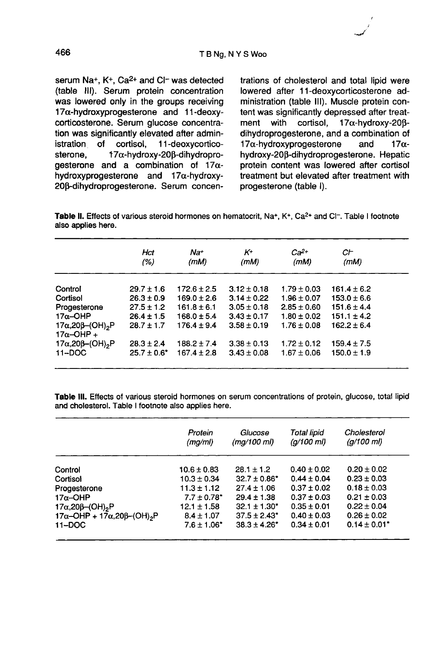serum  $\text{Na}^+$ ,  $\text{K}^+$ ,  $\text{Ca}^{2+}$  and  $\text{Cl}^-$  was detected (table 111). Serum protein concentration was lowered only in the groups receiving 17a-hydroxyprogesterone and 11-deoxycorticosterone. Serum glucose concentration was significantly elevated after admin-<br>istration of cortisol. 11-deoxycorticoistration of cortisol,<br>sterone.  $17\alpha$ -hydro  $17\alpha$ -hydroxy-20 $\beta$ -dihydroprogesterone and a combination of  $17\alpha$ hydroxyprogesterone and 17a-hydroxy-20ß-dihydroprogesterone. Serum concentrations of cholesterol and total lipid were lowered after 11-deoxycorticosterone administration (table 111). Muscle protein content was significantly depressed after treat-<br>ment with cortisol.  $17\alpha$ -hydroxy-208- $17\alpha$ -hydroxy-20 $\beta$ dihydroprogesterone, and a combination of<br>17 $\alpha$ -hydroxyprogesterone and 17 $\alpha$ - $17\alpha$ -hydroxyprogesterone hydroxy-20p-dihydroprogesterone. Hepatic protein content was lowered after cortisol treatment but elevated after treatment with progesterone (table 1).

Table II. Effects of various steroid hormones on hematocrit. Na+. K+. Ca<sup>2+</sup> and Cl<sup>-</sup>. Table I footnote also applies here.

|                                                                   | Hct<br>(%)       | Na+<br>(mM)     | Κ÷<br>(mM)      | $Ca^{2+}$<br>(mM) | СF<br>(mM)      |
|-------------------------------------------------------------------|------------------|-----------------|-----------------|-------------------|-----------------|
| Control                                                           | $29.7 \pm 1.6$   | $172.6 \pm 2.5$ | $3.12 \pm 0.18$ | $1.79 \pm 0.03$   | $161.4 \pm 6.2$ |
| Cortisol                                                          | $26.3 \pm 0.9$   | $169.0 \pm 2.6$ | $3.14 \pm 0.22$ | $1.96 \pm 0.07$   | $153.0 \pm 6.6$ |
| Progesterone                                                      | $27.5 \pm 1.2$   | $161.8 \pm 6.1$ | $3.05 \pm 0.18$ | $2.85 \pm 0.60$   | $151.6 \pm 4.4$ |
| $17\alpha$ -OHP                                                   | $26.4 \pm 1.5$   | $168.0 \pm 5.4$ | $3.43 \pm 0.17$ | $1.80 \pm 0.02$   | $151.1 \pm 4.2$ |
| 17 $\alpha$ ,20 $\beta$ –(OH) <sub>2</sub> P<br>$17\alpha$ -OHP + | $28.7 \pm 1.7$   | $176.4 + 9.4$   | $3.58 + 0.19$   | $1.76 + 0.08$     | $162.2 + 6.4$   |
| 17α, 20β-(OH) <sub>2</sub> P                                      | $28.3 \pm 2.4$   | $188.2 \pm 7.4$ | $3.38 + 0.13$   | $1.72 \pm 0.12$   | $159.4 \pm 7.5$ |
| $11 - DOC$                                                        | $25.7 \pm 0.6^*$ | $167.4 \pm 2.8$ | $3.43 \pm 0.08$ | $1.67 \pm 0.06$   | $150.0 \pm 1.9$ |

Table III. Effects of various steroid hormones on serum concentrations of protein, glucose, total lipid and cholesterol. Table I footnote also applies here.

|                                              | Protein<br>(mg/ml)          | Glucose<br>(mq/100 ml) | Total lipid<br>$(q/100 \, \text{m})$ | Cholesterol<br>(a/100 ml)    |
|----------------------------------------------|-----------------------------|------------------------|--------------------------------------|------------------------------|
| Control                                      | $10.6 \pm 0.83$             | $28.1 \pm 1.2$         | $0.40 \pm 0.02$                      | $0.20 \pm 0.02$              |
| Cortisol                                     | $10.3 \pm 0.34$             | $32.7 \pm 0.86^*$      | $0.44 + 0.04$                        | $0.23 \pm 0.03$              |
| Progesterone                                 | $11.3 \pm 1.12$             | $27.4 \pm 1.06$        | $0.37 \pm 0.02$                      | $0.18 \pm 0.03$              |
| $17\alpha$ -OHP                              | $7.7 \pm 0.78$ <sup>*</sup> | $29.4 \pm 1.38$        | $0.37 \pm 0.03$                      | $0.21 \pm 0.03$              |
| 17 $\alpha$ ,20 $\beta$ –(OH) <sub>2</sub> P | $12.1 \pm 1.58$             | $32.1 \pm 1.30^*$      | $0.35 \pm 0.01$                      | $0.22 \pm 0.04$              |
| 17α-OHP + 17α,20β-(OH) <sub>2</sub> P        | $8.4 \pm 1.07$              | $37.5 \pm 2.43^*$      | $0.40 \pm 0.03$                      | $0.26 \pm 0.02$              |
| $11 - DOC$                                   | $7.6 \pm 1.06$ <sup>*</sup> | $38.3 \pm 4.26^*$      | $0.34 \pm 0.01$                      | $0.14 \pm 0.01$ <sup>*</sup> |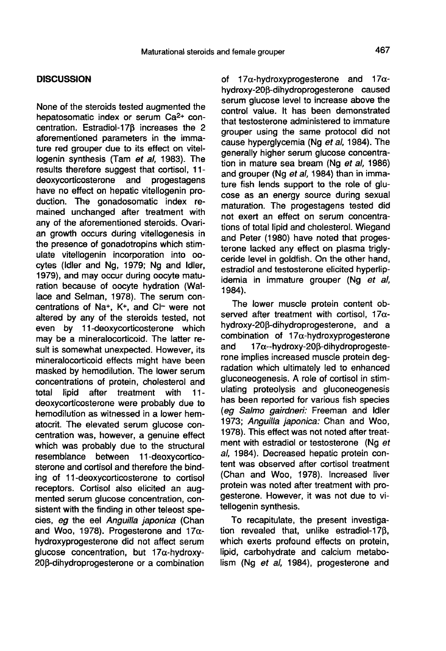# **DISCUSSION**

None of the steroids tested augmented the hepatosomatic index or serum Ca2+ concentration. Estradiol-170 increases the 2 aforementioned parameters in the immature red grouper due to its effect on vitellogenin synthesis (Tam et al, 1983). The results therefore suggest that cortisol, 11-<br>deoxycorticosterone and progestagens deoxycorticosterone and have no effect on hepatic vitellogenin production. The gonadosomatic index remained unchanged after treatment with any of the aforementioned steroids. Ovarian growth occurs during vitellogenesis in the presence of gonadotropins which stimulate vitellogenin incorporation into oocytes (Idler and Ng, 1979; Ng and Idler, 1979), and may occur during oocyte maturation because of oocyte hydration (Wallace and Selman, 1978). The serum concentrations of Na+,  $K^+$ , and C $\vdash$  were not altered by any of the steroids tested, not even by 11-deoxycorticosterone which may be a mineralocorticoid. The latter result is somewhat unexpected. However, its mineralocorticoid effects might have been masked by hemodilution. The lower serum concentrations of protein, cholesterol and<br>total lipid after treatment with 11after treatment with 11deoxycorticosterone were probably due to hemodilution as witnessed in a lower hematocrit. The elevated serum glucose concentration was, however, a genuine effect which was probably due to the structural resemblance between 11-deoxycorticosterone and cortisol and therefore the binding of 11-deoxycorticosterone to cortisol receptors. Cortisol also elicited an augmented serum glucose concentration, consistent with the finding in other teleost species, eg the eel Anguilla japonica (Chan and Woo, 1978). Progesterone and  $17\alpha$ hydroxyprogesterone did not affect serum glucose concentration, but 17a-hydroxy-20p-dihydroprogesterone or a combination

of  $17\alpha$ -hydroxyprogesterone and  $17\alpha$ hydroxy-208-dihydroprogesterone caused serum glucose level to increase above the control value. It has been demonstrated that testosterone administered to immature grouper using the same protocol did not cause hyperglycemia (Ng et al, 1984). The generally higher serum glucose concentration in mature sea bream (Ng et al, 1986) and grouper (Ng et al, 1984) than in immature fish lends support to the role of glu cose as an energy source during sexual maturation. The progestagens tested did not exert an effect on serum concentrations of total lipid and cholesterol. Wiegand and Peter (1980) have noted that progesterone lacked any effect on plasma triglyceride level in goldfish. On the other hand, estradiol and testosterone elicited hyperlipidemia in immature grouper (Ng et al, 1984).

The lower muscle protein content observed after treatment with cortisol, 17 $\alpha$ hydroxy-20 $\beta$ -dihydroprogesterone, and a combination of  $17\alpha$ -hydroxyprogesterone<br>and  $17\alpha$ --hydroxy-208-dihydroprogeste- $17\alpha$ --hydroxy-20 $\beta$ -dihydroprogesterone implies increased muscle protein degradation which ultimately led to enhanced gluconeogenesis. A role of cortisol in stimulating proteolysis and gluconeogenesis has been reported for various fish species (eg Salmo gairdneri: Freeman and Idler 1973; Anguilla japonica: Chan and Woo, 1978). This effect was not noted after treatment with estradiol or testosterone (Ng et al, 1984). Decreased hepatic protein content was observed after cortisol treatment (Chan and Woo, 1978). Increased liver protein was noted after treatment with progesterone. However, it was not due to vitellogenin synthesis.

To recapitulate, the present investigation revealed that, unlike estradiol-170, which exerts profound effects on protein, lipid, carbohydrate and calcium metabolism (Ng et al, 1984), progesterone and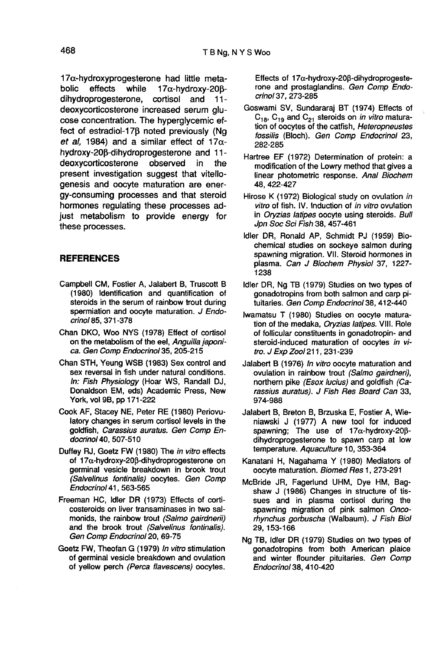$17\alpha$ -hydroxyprogesterone had little meta-<br>bolic effects while  $17\alpha$ -hydroxy-20ß- $17\alpha$ -hydroxy-20 $\beta$ -<br>cortisol and 11dihydroprogesterone, deoxycorticosterone increased serum glu cose concentration. The hyperglycemic effect of estradiol-170 noted previously (Ng et al, 1984) and a similar effect of 17 $\alpha$ hydroxy-20 $\beta$ -dihydroprogesterone and 11-<br>deoxycorticosterone observed in the deoxycorticosterone observed in the present investigation suggest that vitellogenesis and oocyte maturation are energy-consuming processes and that steroid hormones regulating these processes adjust metabolism to provide energy for these processes.

## REFERENCES

- Campbell CM, Fostier A, Jalabert B, Truscott B (1980) Identification and quantification of steroids in the serum of rainbow trout during spermiation and oocyte maturation. J Endocrinol 85, 371-378
- Chan DKO, Woo NYS (1978) Effect of cortisol<br>on the metabolism of the eel, Anguilla japonica. Gen Comp Endocrinol 35, 205-215
- Chan STH, Yeung WSB (1983) Sex control and sex reversal in fish under natural conditions. In: Fish Physiology (Hoar WS, Randall DJ, Donaldson EM, eds) Academic Press, New York, vol 9B, pp 171-222
- Cook AF, Stacey NE, Peter RE (1980) Periovulatory changes in serum cortisol levels in the goldfish, Carassius auratus. Gen Comp Endocrinol40, 507-510
- Duffey RJ, Goetz FW (1980) The in vitro effects of  $17\alpha$ -hydroxy-20 $\beta$ -dihydroprogesterone on germinal vesicle breakdown in brook trout (Salvelinus fontinalis) oocytes. Gen Comp Endocrinol 41, 563-565
- Freeman HC, Idler DR (1973) Effects of corticosteroids on liver transaminases in two salmonids, the rainbow trout (Salmo gairdnerii) and the brook trout (Salvelinus fontinalis). Gen Comp Endocrinol 20, 69-75
- Goetz FW, Theofan G (1979) In vitro stimulation of germinal vesicle breakdown and ovulation of yellow perch (Perca flavescens) oocytes.

Effects of 17 $\alpha$ -hydroxy-20 $\beta$ -dihydroprogeste-<br>rone and prostaglandins. Gen Comp Endocrinol37, 273-285

- Goswami SV, Sundararaj BT (1974) Effects of  $C_{18}$ ,  $C_{19}$  and  $C_{21}$  steroids on *in vitro* maturation of oocytes of the catfish, Heteropneustes fossilis (Bloch). Gen Comp Endocrinol 23, 282-285
- Hartree EF (1972) Determination of protein: a modification of the Lowry method that gives a linear photometric response. Anal Biochem 48,422-427
- Hirose K (1972) Biological study on ovulation in vitro of fish. IV. Induction of in vitro ovulation in Oryzias latipes oocyte using steroids. Bull Jpn Soc Sci Fish 38, 457-461
- Idler DR, Ronald AP, Schmidt PJ (1959) Biochemical studies on sockeye salmon during spawning migration. Vil. Steroid hormones in plasma. Can J 8iochem Physiol 37, 1227- 1238
- Idler DR, Ng TB (1979) Studies on two types of gonadotropins from both salmon and carp pituitaries. Gen Comp Endocrinol 38, 412-440
- lwamatsu T (1980) Studies on oocyte maturation of the medaka, Oryzias latipes. VIII. Role of follicular constituents in gonadotropin- and steroid-induced maturation of oocytes in vitro. J Exp Zool 211, 231-239
- Jalabert B (1976) In vitro oocyte maturation and ovulation in rainbow trout (Salmo gairdneri), northern pike (Esox lucius) and goldfish (Carassius auratus). J Fish Res Board Can 33, 974-988
- Jalabert B, Breton B, Brzuska E, Fostier A, Wieniawski J (1977) A new tool for induced spawning; The use of  $17\alpha$ -hydroxy-20 $\beta$ dihydroprogesterone to spawn carp at low temperature. Aquaculture 10, 353-364
- Kanatani H, Nagahama Y (1980) Mediators of oocyte maturation. Biomed Res 1, 273-291
- McBride JR, Fagerlund UHM, Dye HM, Bagshaw J (1986) Changes in structure of tissues and in plasma cortisol during the spawning migration of pink salmon Oncorhynchus gorbuscha (Walbaum). J Fish Biol 29, 153-166
- Ng TB, Idler DR (1979) Studies on two types of gonadotropins from both American plaice and winter flounder pituitaries. Gen Comp Endocrinol38, 410-420